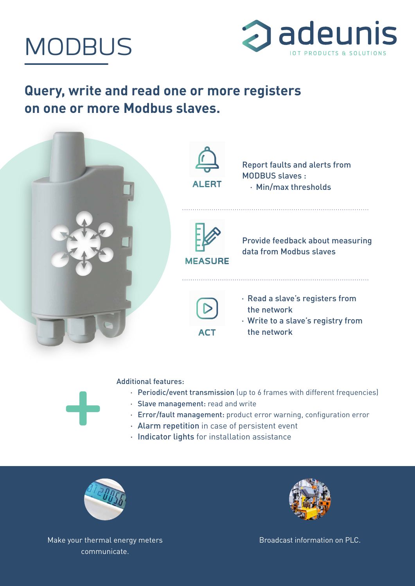



## **Query, write and read one or more registers on one or more Modbus slaves.**





- · Periodic/event transmission (up to 6 frames with different frequencies)
- · Slave management: read and write
- · Error/fault management: product error warning, configuration error
- · Alarm repetition in case of persistent event
- · Indicator lights for installation assistance



Make your thermal energy meters communicate.



Broadcast information on PLC.